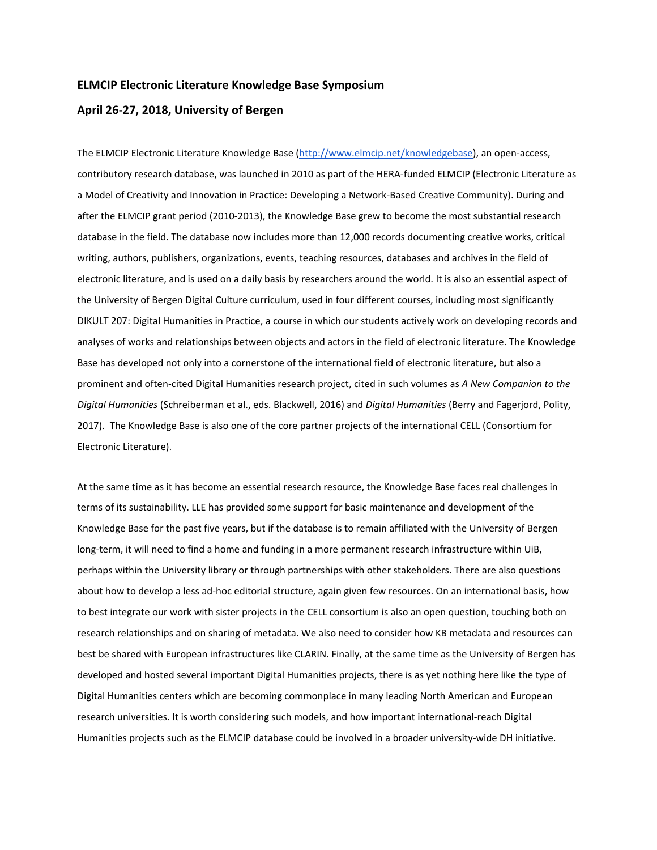#### ELMCIP Electronic Literature Knowledge Base Symposium

#### April 26-27, 2018, University of Bergen

The ELMCIP Electronic Literature Knowledge Base (http://www.elmcip.net/knowledgebase), an open-access, contributory research database, was launched in 2010 as part of the HERA-funded ELMCIP (Electronic Literature as a Model of Creativity and Innovation in Practice: Developing a Network-Based Creative Community). During and after the ELMCIP grant period (2010-2013), the Knowledge Base grew to become the most substantial research database in the field. The database now includes more than 12,000 records documenting creative works, critical writing, authors, publishers, organizations, events, teaching resources, databases and archives in the field of electronic literature, and is used on a daily basis by researchers around the world. It is also an essential aspect of the University of Bergen Digital Culture curriculum, used in four different courses, including most significantly DIKULT 207: Digital Humanities in Practice, a course in which our students actively work on developing records and analyses of works and relationships between objects and actors in the field of electronic literature. The Knowledge Base has developed not only into a cornerstone of the international field of electronic literature, but also a prominent and often-cited Digital Humanities research project, cited in such volumes as A New Companion to the Digital Humanities (Schreiberman et al., eds. Blackwell, 2016) and Digital Humanities (Berry and Fagerjord, Polity, 2017). The Knowledge Base is also one of the core partner projects of the international CELL (Consortium for Electronic Literature).

At the same time as it has become an essential research resource, the Knowledge Base faces real challenges in terms of its sustainability. LLE has provided some support for basic maintenance and development of the Knowledge Base for the past five years, but if the database is to remain affiliated with the University of Bergen long-term, it will need to find a home and funding in a more permanent research infrastructure within UiB, perhaps within the University library or through partnerships with other stakeholders. There are also questions about how to develop a less ad-hoc editorial structure, again given few resources. On an international basis, how to best integrate our work with sister projects in the CELL consortium is also an open question, touching both on research relationships and on sharing of metadata. We also need to consider how KB metadata and resources can best be shared with European infrastructures like CLARIN. Finally, at the same time as the University of Bergen has developed and hosted several important Digital Humanities projects, there is as yet nothing here like the type of Digital Humanities centers which are becoming commonplace in many leading North American and European research universities. It is worth considering such models, and how important international-reach Digital Humanities projects such as the ELMCIP database could be involved in a broader university-wide DH initiative.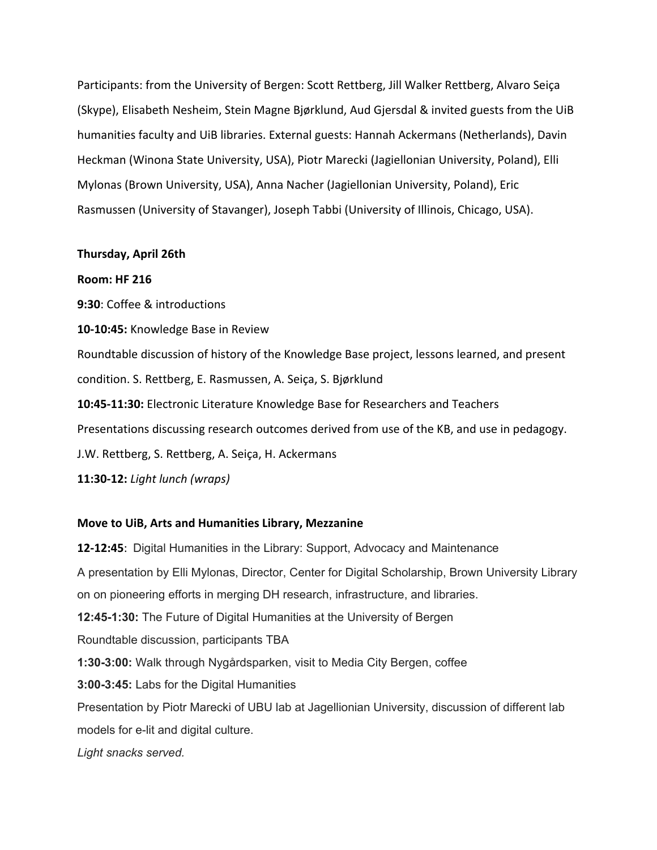Participants: from the University of Bergen: Scott Rettberg, Jill Walker Rettberg, Alvaro Seiça (Skype), Elisabeth Nesheim, Stein Magne Bjørklund, Aud Gjersdal & invited guests from the UiB humanities faculty and UiB libraries. External guests: Hannah Ackermans (Netherlands), Davin Heckman (Winona State University, USA), Piotr Marecki (Jagiellonian University, Poland), Elli Mylonas (Brown University, USA), Anna Nacher (Jagiellonian University, Poland), Eric Rasmussen (University of Stavanger), Joseph Tabbi (University of Illinois, Chicago, USA).

### Thursday, April 26th

### Room: HF 216

9:30: Coffee & introductions

10-10:45: Knowledge Base in Review

Roundtable discussion of history of the Knowledge Base project, lessons learned, and present condition. S. Rettberg, E. Rasmussen, A. Seiça, S. Bjørklund

10:45-11:30: Electronic Literature Knowledge Base for Researchers and Teachers

Presentations discussing research outcomes derived from use of the KB, and use in pedagogy.

J.W. Rettberg, S. Rettberg, A. Seiça, H. Ackermans

11:30-12: Light lunch (wraps)

### Move to UiB, Arts and Humanities Library, Mezzanine

12-12:45: Digital Humanities in the Library: Support, Advocacy and Maintenance A presentation by Elli Mylonas, Director, Center for Digital Scholarship, Brown University Library on on pioneering efforts in merging DH research, infrastructure, and libraries. **12:45-1:30:** The Future of Digital Humanities at the University of Bergen Roundtable discussion, participants TBA **1:30-3:00:** Walk through Nygårdsparken, visit to Media City Bergen, coffee **3:00-3:45:** Labs for the Digital Humanities Presentation by Piotr Marecki of UBU lab at Jagellionian University, discussion of different lab models for e-lit and digital culture. *Light snacks served.*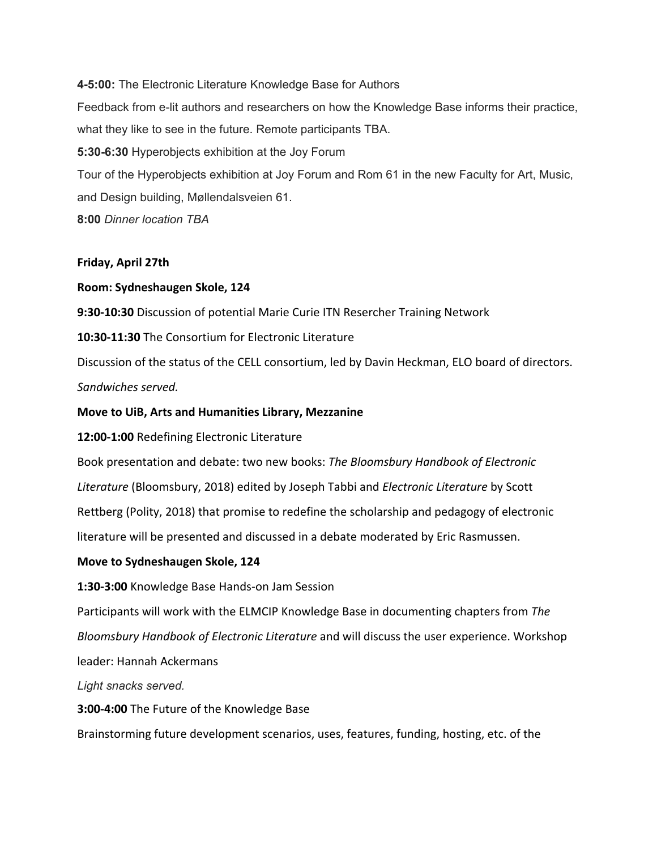**4-5:00:** The Electronic Literature Knowledge Base for Authors Feedback from e-lit authors and researchers on how the Knowledge Base informs their practice, what they like to see in the future. Remote participants TBA. **5:30-6:30** Hyperobjects exhibition at the Joy Forum Tour of the Hyperobjects exhibition at Joy Forum and Rom 61 in the new Faculty for Art, Music, and Design building, Møllendalsveien 61. **8:00** *Dinner location TBA*

## Friday, April 27th

## Room: Sydneshaugen Skole, 124

9:30-10:30 Discussion of potential Marie Curie ITN Resercher Training Network

10:30-11:30 The Consortium for Electronic Literature

Discussion of the status of the CELL consortium, led by Davin Heckman, ELO board of directors. Sandwiches served.

# Move to UiB, Arts and Humanities Library, Mezzanine

12:00-1:00 Redefining Electronic Literature

Book presentation and debate: two new books: The Bloomsbury Handbook of Electronic Literature (Bloomsbury, 2018) edited by Joseph Tabbi and Electronic Literature by Scott Rettberg (Polity, 2018) that promise to redefine the scholarship and pedagogy of electronic literature will be presented and discussed in a debate moderated by Eric Rasmussen.

# Move to Sydneshaugen Skole, 124

1:30-3:00 Knowledge Base Hands-on Jam Session

Participants will work with the ELMCIP Knowledge Base in documenting chapters from The Bloomsbury Handbook of Electronic Literature and will discuss the user experience. Workshop leader: Hannah Ackermans

*Light snacks served.*

3:00-4:00 The Future of the Knowledge Base

Brainstorming future development scenarios, uses, features, funding, hosting, etc. of the